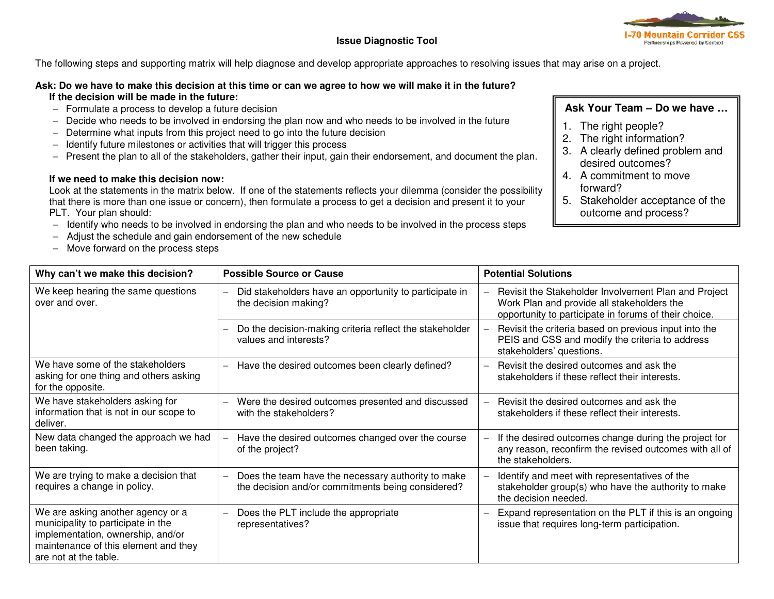

The following steps and supporting matrix will help diagnose and develop appropriate approaches to resolving issues that may arise on a project.

## **Ask: Do we have to make this decision at this time or can we agree to how we will make it in the future? If the decision will be made in the future:**

- − Formulate a process to develop a future decision
- − Decide who needs to be involved in endorsing the plan now and who needs to be involved in the future
- − Determine what inputs from this project need to go into the future decision
- − Identify future milestones or activities that will trigger this process
- − Present the plan to all of the stakeholders, gather their input, gain their endorsement, and document the plan.

## **If we need to make this decision now:**

 Look at the statements in the matrix below. If one of the statements reflects your dilemma (consider the possibility that there is more than one issue or concern), then formulate a process to get a decision and present it to your PLT. Your plan should:

- − Identify who needs to be involved in endorsing the plan and who needs to be involved in the process steps
- − Adjust the schedule and gain endorsement of the new schedule
- − Move forward on the process steps

## **Ask Your Team – Do we have …**

- 1. The right people?
- 2. The right information?
- 3. A clearly defined problem and desired outcomes?
- 4. A commitment to move forward?
- 5. Stakeholder acceptance of the outcome and process?

| Why can't we make this decision?                                                                                                                                              | <b>Possible Source or Cause</b>                                                                         | <b>Potential Solutions</b>                                                                                                                                  |
|-------------------------------------------------------------------------------------------------------------------------------------------------------------------------------|---------------------------------------------------------------------------------------------------------|-------------------------------------------------------------------------------------------------------------------------------------------------------------|
| We keep hearing the same questions<br>over and over.                                                                                                                          | Did stakeholders have an opportunity to participate in<br>the decision making?                          | Revisit the Stakeholder Involvement Plan and Project<br>Work Plan and provide all stakeholders the<br>opportunity to participate in forums of their choice. |
|                                                                                                                                                                               | Do the decision-making criteria reflect the stakeholder<br>values and interests?                        | Revisit the criteria based on previous input into the<br>PEIS and CSS and modify the criteria to address<br>stakeholders' questions.                        |
| We have some of the stakeholders<br>asking for one thing and others asking<br>for the opposite.                                                                               | Have the desired outcomes been clearly defined?                                                         | Revisit the desired outcomes and ask the<br>stakeholders if these reflect their interests.                                                                  |
| We have stakeholders asking for<br>information that is not in our scope to<br>deliver.                                                                                        | Were the desired outcomes presented and discussed<br>with the stakeholders?                             | Revisit the desired outcomes and ask the<br>$\equiv$<br>stakeholders if these reflect their interests.                                                      |
| New data changed the approach we had<br>been taking.                                                                                                                          | Have the desired outcomes changed over the course<br>of the project?                                    | If the desired outcomes change during the project for<br>any reason, reconfirm the revised outcomes with all of<br>the stakeholders.                        |
| We are trying to make a decision that<br>requires a change in policy.                                                                                                         | Does the team have the necessary authority to make<br>the decision and/or commitments being considered? | Identify and meet with representatives of the<br>stakeholder group(s) who have the authority to make<br>the decision needed.                                |
| We are asking another agency or a<br>municipality to participate in the<br>implementation, ownership, and/or<br>maintenance of this element and they<br>are not at the table. | Does the PLT include the appropriate<br>representatives?                                                | Expand representation on the PLT if this is an ongoing<br>issue that requires long-term participation.                                                      |